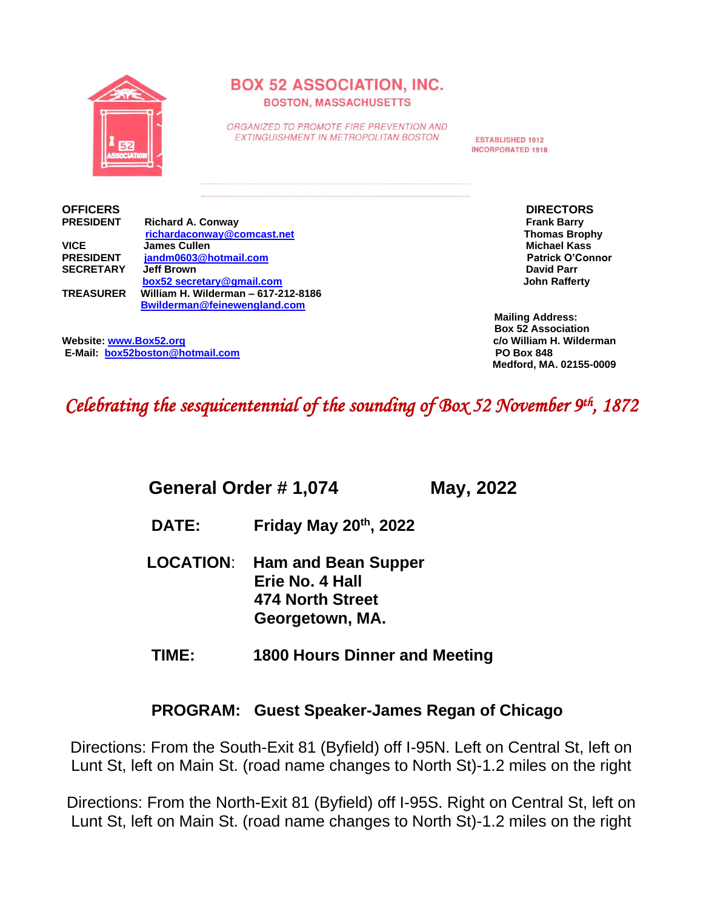

# **BOX 52 ASSOCIATION, INC. BOSTON, MASSACHUSETTS**

ORGANIZED TO PROMOTE FIRE PREVENTION AND EXTINGUISHMENT IN METROPOLITAN BOSTON

**ESTABLISHED 1912 INCORPORATED 1918** 

|                  | richardaconway@comcast.net          | <b>Thomas Brophy</b>  |
|------------------|-------------------------------------|-----------------------|
| <b>VICE</b>      | <b>James Cullen</b>                 | Michael Kass          |
| <b>PRESIDENT</b> | jandm0603@hotmail.com               | <b>Patrick O'Conn</b> |
| <b>SECRETARY</b> | Jeff Brown                          | <b>David Parr</b>     |
|                  | box52 secretary@gmail.com           | <b>John Rafferty</b>  |
| <b>TREASURER</b> | William H. Wilderman - 617-212-8186 |                       |
|                  | Bwilderman@feinewengland.com        |                       |
|                  |                                     |                       |

**OFFICERS** DIRECTORS<br>
PRESIDENT Richard A. Conway **PRICAL RIGHTS RIGHTS RIGHTS RIGHTS RIGHTS RIGHTS RIGHTS RIGHTS RIGHTS RIGHTS RIGHTS RIGHTS RIGHTS RIGHTS RIGHTS RIGHTS RIGHTS RIGHTS RIGHTS RIGHTS RIGHTS RIGHTS RIGHTS RIGHTS RIGHTS RIGHTS RIGHTS RIGHTS RIGHTS RIGHTS RIGH Thomas Brophy Michael Kass Patrick O'Connor** *<u>John Rafferty</u>* 

> **Mailing Address: Box 52 Association Medford, MA. 02155-0009**

**Website: [www.Box52.org](about:blank) c/o William H. Wilderman E-Mail: box52boston@hotmail.com** 

# *Celebrating the sesquicentennial of the sounding of Box 52 November 9th, 1872*

 **General Order # 1,074 May, 2022**

- **DATE: Friday May 20 th , 2022**
	- **LOCATION**: **Ham and Bean Supper Erie No. 4 Hall 474 North Street Georgetown, MA.**
	- **TIME: 1800 Hours Dinner and Meeting**

# **PROGRAM: Guest Speaker-James Regan of Chicago**

Directions: From the South-Exit 81 (Byfield) off I-95N. Left on Central St, left on Lunt St, left on Main St. (road name changes to North St)-1.2 miles on the right

Directions: From the North-Exit 81 (Byfield) off I-95S. Right on Central St, left on Lunt St, left on Main St. (road name changes to North St)-1.2 miles on the right